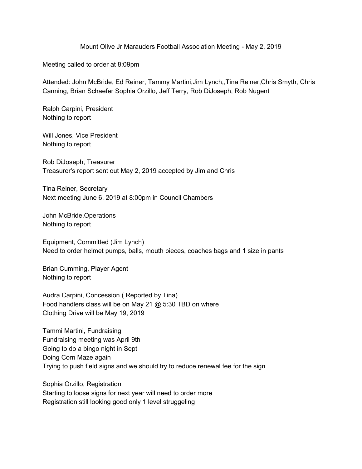Mount Olive Jr Marauders Football Association Meeting - May 2, 2019

Meeting called to order at 8:09pm

Attended: John McBride, Ed Reiner, Tammy Martini,Jim Lynch,,Tina Reiner,Chris Smyth, Chris Canning, Brian Schaefer Sophia Orzillo, Jeff Terry, Rob DiJoseph, Rob Nugent

Ralph Carpini, President Nothing to report

Will Jones, Vice President Nothing to report

Rob DiJoseph, Treasurer Treasurer's report sent out May 2, 2019 accepted by Jim and Chris

Tina Reiner, Secretary Next meeting June 6, 2019 at 8:00pm in Council Chambers

John McBride,Operations Nothing to report

Equipment, Committed (Jim Lynch) Need to order helmet pumps, balls, mouth pieces, coaches bags and 1 size in pants

Brian Cumming, Player Agent Nothing to report

Audra Carpini, Concession ( Reported by Tina) Food handlers class will be on May 21 @ 5:30 TBD on where Clothing Drive will be May 19, 2019

Tammi Martini, Fundraising Fundraising meeting was April 9th Going to do a bingo night in Sept Doing Corn Maze again Trying to push field signs and we should try to reduce renewal fee for the sign

Sophia Orzillo, Registration Starting to loose signs for next year will need to order more Registration still looking good only 1 level struggeling